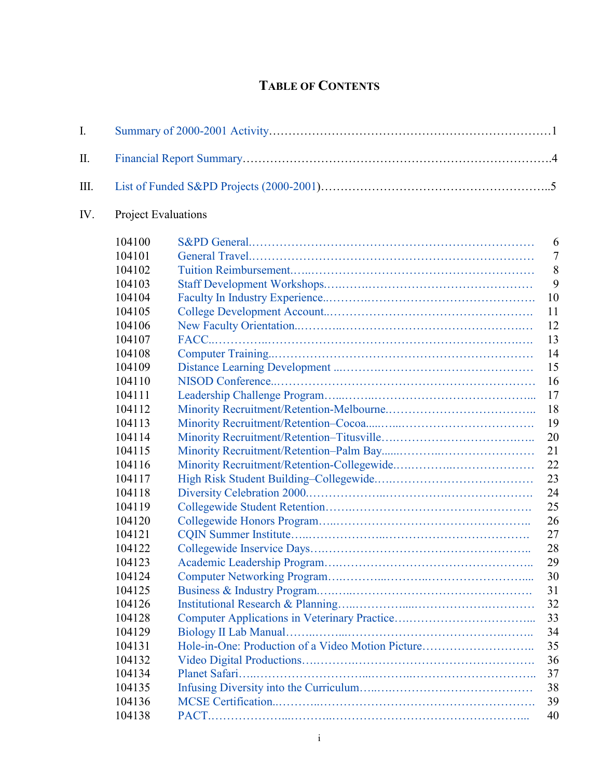## **TABLE OF CONTENTS**

| $I_{\cdot}$ |                            |                                                   |                |  |  |
|-------------|----------------------------|---------------------------------------------------|----------------|--|--|
| $\prod$     |                            |                                                   |                |  |  |
| Ш.          |                            |                                                   |                |  |  |
| IV.         | <b>Project Evaluations</b> |                                                   |                |  |  |
|             | 104100                     |                                                   | 6              |  |  |
|             | 104101                     |                                                   | $\overline{7}$ |  |  |
|             | 104102                     |                                                   | 8              |  |  |
|             | 104103                     |                                                   | 9              |  |  |
|             | 104104                     |                                                   | 10             |  |  |
|             | 104105                     |                                                   | 11             |  |  |
|             | 104106                     |                                                   | 12             |  |  |
|             | 104107                     |                                                   | 13             |  |  |
|             | 104108                     |                                                   | 14             |  |  |
|             | 104109                     |                                                   | 15             |  |  |
|             | 104110                     |                                                   | 16             |  |  |
|             | 104111                     |                                                   | 17             |  |  |
|             | 104112                     |                                                   | 18             |  |  |
|             | 104113                     |                                                   | 19             |  |  |
|             | 104114                     |                                                   | 20             |  |  |
|             | 104115                     |                                                   | 21             |  |  |
|             | 104116                     |                                                   | 22             |  |  |
|             | 104117                     |                                                   | 23             |  |  |
|             | 104118                     |                                                   | 24             |  |  |
|             | 104119                     |                                                   | 25             |  |  |
|             | 104120                     |                                                   | 26             |  |  |
|             | 104121                     |                                                   | 27             |  |  |
|             | 104122                     |                                                   | 28             |  |  |
|             | 104123                     |                                                   | 29             |  |  |
|             | 104124                     |                                                   | 30             |  |  |
|             | 104125                     |                                                   | 31             |  |  |
|             | 104126                     |                                                   | 32             |  |  |
|             | 104128                     |                                                   | 33             |  |  |
|             | 104129                     |                                                   | 34             |  |  |
|             | 104131                     | Hole-in-One: Production of a Video Motion Picture | 35             |  |  |
|             | 104132                     |                                                   | 36             |  |  |
|             | 104134                     |                                                   | 37             |  |  |
|             | 104135                     |                                                   | 38             |  |  |
|             | 104136                     |                                                   | 39             |  |  |
|             | 104138                     |                                                   | 40             |  |  |
|             |                            |                                                   |                |  |  |